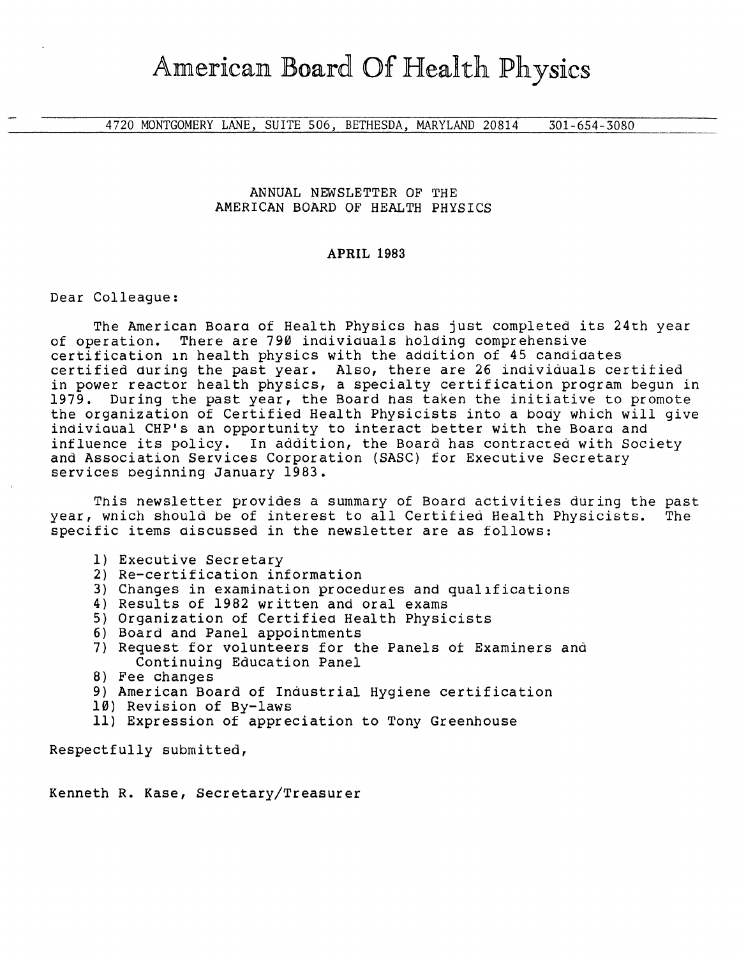4720 MONTGOMERY LANE, SUITE 506, BETHESDA, MARYLAND 20814 301-654-3080

## ANNUAL NEWSLETTER OF THE AMERICAN BOARD OF HEALTH PHYSICS

## **APRIL** 1983

Dear Colleague:

The American Boara of Health Physics has just completed its 24th year of operation. There are 790 indiviauals holding comprehensive certification in health physics with the addition of 45 candidates certified during the past year. Also, there are 26 individuals certitied in power reactor health physics, a specialty certification program begun in 1979. During the past year, the Board has taken the initiative to promote the organization of Certified Health Physicists into a body which will give indiviaual CHP's an opportunity to interact better with the Boara and influence its policy. In addition, the Board has contracted with Society and Association Services Corporation (SASC) for Executive Secretary services beginning January 1983.

This newsletter provides a summary of Board activities during the past<br>which should be of interest to all Certified Health Physicists. The year, wnich should be of interest to all Certified Health Physicists. specific items aiscussed in the newsletter are as follows:

- 1) Executive Secretary
- 2) Re-certification information
- 3) Changes in examination procedures and qualifications
- 4) Results of 1982 written and oral exams
- 5) Organization of Certified Health Physicists
- 6) Board and Panel appointments
- 7) Request for volunteers for the Panels *ot* Examiners and Continuing Education Panel
- 8) Fee changes
- 9) American Board of Industrial Hygiene certification
- 10) Revision of By-laws
- 11) Expression of appreciation to Tony Greenhouse

Respectfully submitted,

Kenneth R. Kase, Secretary/Treasurer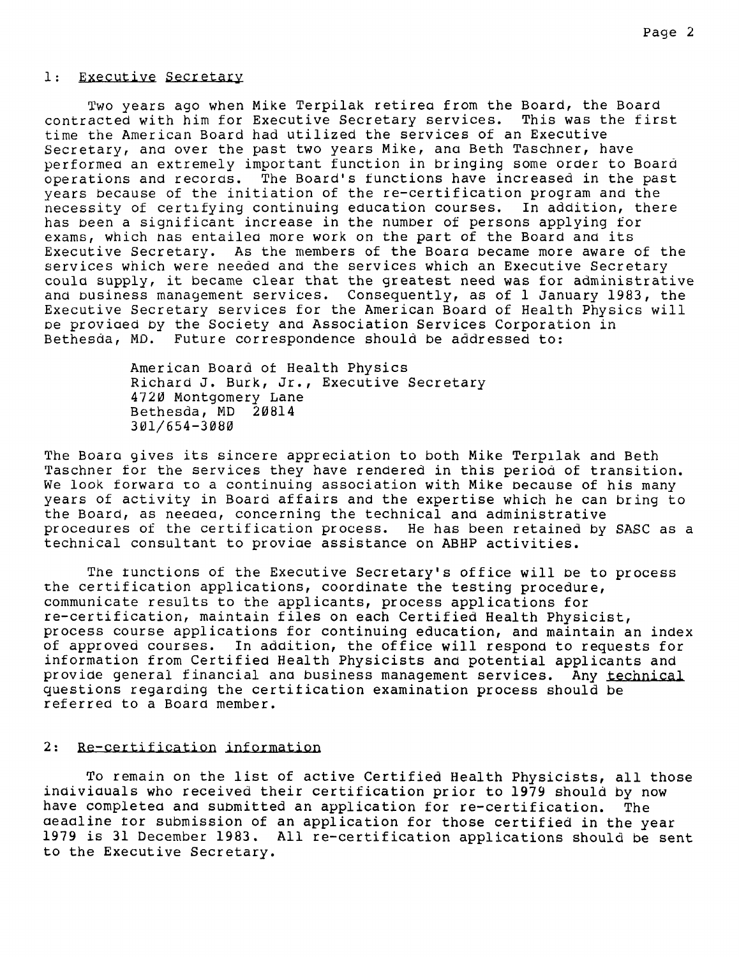### 1: Executive Secretary

Two years ago when Mike Terpilak retirea from the Board, the Board<br>acted with him for Executive Secretary services. This was the first contracted with him for Executive Secretary services. time the American Board had utilized the services of an Executive Secretary, ana over the past two years Mike, ana Beth Taschner, have performed an extremely important function in bringing some order to Board operations and records. The Board's functions have increased in the past years because of the initiation of the re-certification program and the<br>necessity of certifying continuing education courses. In addition, there necessity of certifying continuing education courses. has been a significant increase in the number of persons applying for exams, which nas entailea more work on the part of the Board and its Executive Secretary. As the members of the Boara became more aware of the services which were needed and the services which an Executive Secretary coula supply, it became clear that the greatest need was for administrative and business management services. Consequently, as of 1 January 1983, the Executive Secretary services for the American Board of Health Physics will oe proviaed by the Society and Association Services Corporation in Bethesda, MD. Future correspondence should be addressed to:

> American Board *ot* Health Physics Richard J. Burk, Jr., Executive Secretary 4720 Montgomery Lane Bethesda, MD **20814**  301/654-3080

The Boara gives its sincere appreciation to both Mike Terpilak and Beth Taschner for the services they have rendered in this period of transition. We look forward to a continuing association with Mike because of his many years of activity in Board affairs and the expertise which he can bring to the Board, as neeaea, concerning the technical and administrative proceaures of the certification process. He has been retained by SASC as a technical consultant to proviae assistance on ABHP activities.

The tunctions of the Executive Secretary's office will be to process the certification applications, coordinate the testing procedure, communicate results to the applicants, process applications for re-certification, maintain files on each Certified Health Physicist, process course applications for continuing education, and maintain an index of approved courses. In addition, the office will respond to requests for information from Certified Health Physicists and potential applicants and provide general financial ana business management services. Any technical questions regarding the certitication examination process should be referred to a Board member.

## 2: Re-certification information

To remain on the list of active Certified Health Physicists, all those inaiviauals who received their certification prior to 1979 should by now have completea and submitted an application for re-certification. The aeadline tor submission of an application for those certified in the year 1979 is 31 December 1983. All re-certification applications should be sent to the Executive Secretary.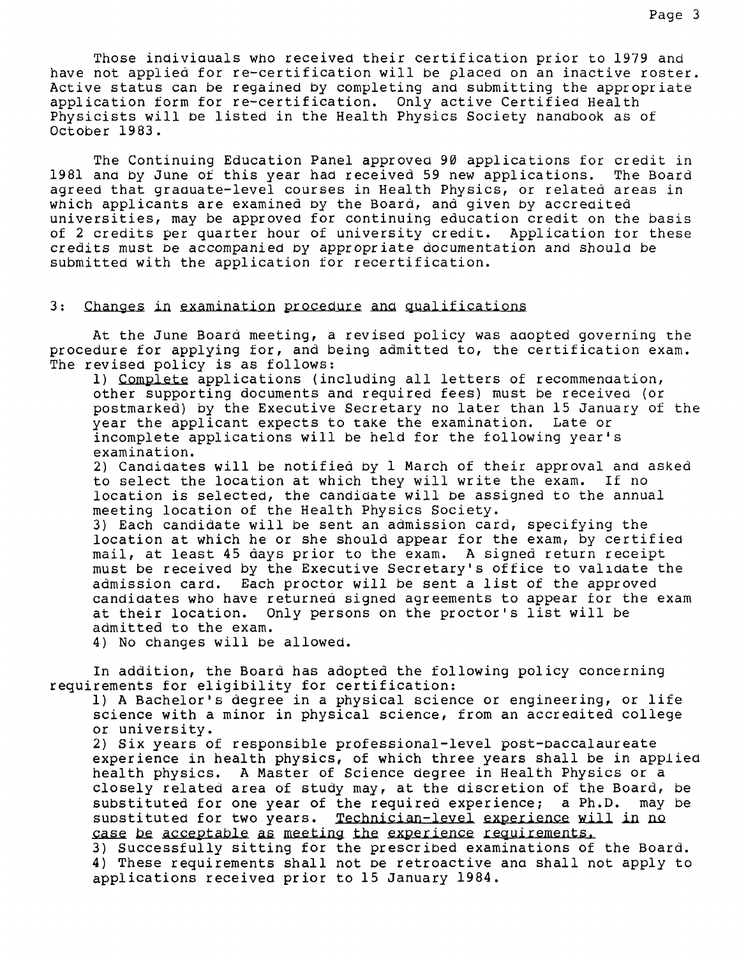Those indiviauals who received their certification prior to 1979 and have not applied for re-certification will be placed on an inactive roster. Active status can be regained by completing and submitting the appropriate application form for re-certification. Only active Certified Health Physicists will be listed in the Health Physics Society handbook as of October 1983.

The Continuing Education Panel approved 90 applications for credit in<br>and by June of this vear had received 59 new applications. The Board 1981 and by June of this year had received 59 new applications. agreed that graduate-level courses in Health Physics, or related areas in which applicants are examined by the Board, and given by accredited universities, may be approved for continuing education credit on the basis of 2 credits per quarter hour of university credit. Application for these credits must be accompanied by appropriate documentation and should be submitted with the application for recertification.

### 3: Changes in examination procedure and qualifications

At the June Board meeting, a revised policy was aaopted governing the procedure for applying for, and being admitted to, the certification exam. The revised policy is as follows:

1) Complete applications (including all letters of recommendation, other supporting documents and required fees) must be received (or postmarked) by the Executive Secretary no later than 15 January of the year the applicant expects to take the examination. Late or incomplete applications will be held for the following year's examination.

2) Candidates will be notified by 1 March of their approval and asked to select the location at which they will write the exam. If no location is selected, the candidate will be assigned to the annual meeting location of the Health Physics Society.

3) Each candidate will be sent an admission card, specifying the location at which he or she should appear for the exam, by certified mail, at least 45 days prior to the exam. A signed return receipt must be received by the Executive Secretary's office to validate the admission card. Each proctor will be sent a list of the approved candidates who have returned signed agreements to appear for the exam at their location. Only persons on the proctor's list will be admitted to the exam.

4) No changes will be allowed.

In addition, the Board has adopted the following policy concerning requirements for eligibility for certification:

1) A Bachelor's degree in a physical science or engineering, or life science with a minor in physical science, from an accredited college or university.

2) Six years of responsible professional-level post-oaccalaureate experience in health physics, of which three years shall be in applied health physics. A Master of Science degree in Health Physics or a closely related area of study may, at the discretion of the Board, be substituted for one year of the required experience; a Ph.D. may be substituted for one year of the required experience; a Ph.D. may be<br>substituted for two years. Technician-level experience will in no<br>case be acceptable as meeting the experience requirements.<br>3) Successfully sitting for t

3) Successfully sitting for the prescribed examinations of the Board.<br>4) These requirements shall not be retroactive and shall not apply to applications received prior to 15 January 1984.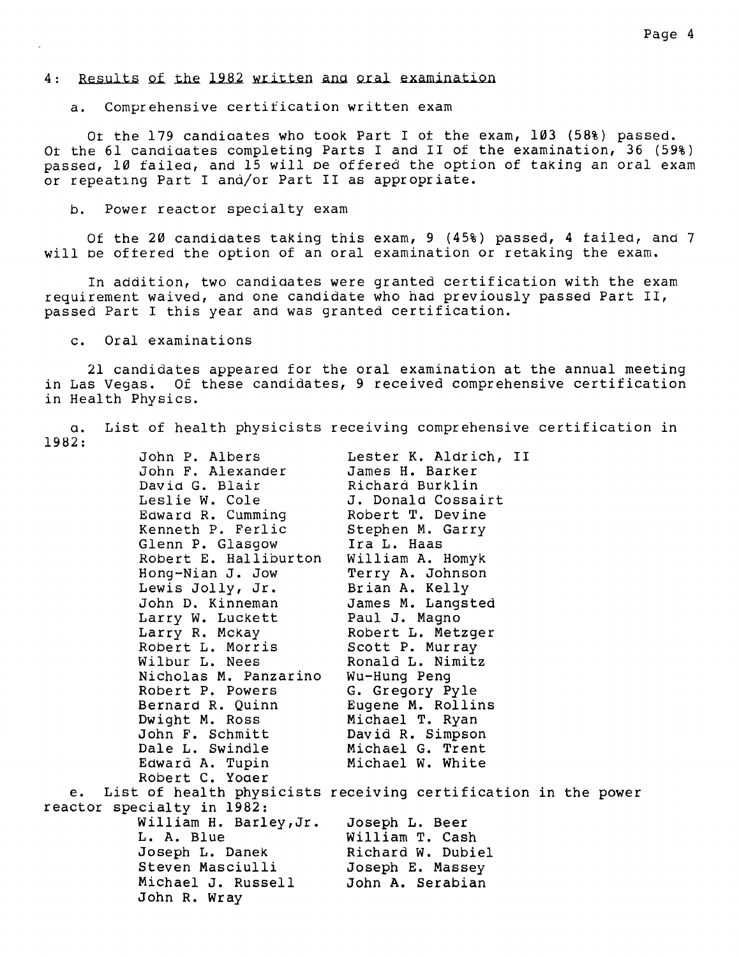### 4: Results of the 1982 written and oral examination

a. Comprehensive certification written exam

Or the 179 candiaates who took Part I *ot* the exam, 103 (58%) passed. or the 61 candiaates completing Parts I and II of the examination, 36 (59%) passed, 10 failea, and 15 will oe offered the option of taking an oral exam or repeating Part I and/or Part II as appropriate.

b. Power reactor specialty exam

Of the 20 candidates taking this exam, 9 (45%) passed, 4 tailed, and 7 will oe ottered the option of an oral examination or retaking the exam.

In addition, two candidates were granted certification with the exam requirement waived, and one candidate who had previously passed Part II, passed Part I this year and was granted certification.

c. Oral examinations

21 candidates appeared for the oral examination at the annual meeting in Las Vegas. Of these candidates, 9 received comprehensive certification in Health Physics.

a. List of health physicists receiving comprehensive certification in 1982:

|    | John P. Albers                                                 | Lester K. Aldrich, II |  |  |
|----|----------------------------------------------------------------|-----------------------|--|--|
|    | John F. Alexander                                              | James H. Barker       |  |  |
|    | David G. Blair                                                 | Richard Burklin       |  |  |
|    | Leslie W. Cole                                                 | J. Donald Cossairt    |  |  |
|    | Edward R. Cumming                                              | Robert T. Devine      |  |  |
|    | Kenneth P. Ferlic                                              | Stephen M. Garry      |  |  |
|    | Glenn P. Glasgow                                               | Ira L. Haas           |  |  |
|    | Robert E. Halliburton                                          | William A. Homyk      |  |  |
|    | Hong-Nian J. Jow                                               | Terry A. Johnson      |  |  |
|    | Lewis Jolly, Jr.                                               | Brian A. Kelly        |  |  |
|    | John D. Kinneman                                               | James M. Langsted     |  |  |
|    | Larry W. Luckett                                               | Paul J. Magno         |  |  |
|    | Larry R. Mckay                                                 | Robert L. Metzger     |  |  |
|    | Robert L. Morris                                               | Scott P. Murray       |  |  |
|    | Wilbur L. Nees                                                 | Ronald L. Nimitz      |  |  |
|    | Nicholas M. Panzarino                                          | Wu-Hung Peng          |  |  |
|    | Robert P. Powers                                               | G. Gregory Pyle       |  |  |
|    | Bernard R. Quinn                                               | Eugene M. Rollins     |  |  |
|    | Dwight M. Ross                                                 | Michael T. Ryan       |  |  |
|    | John F. Schmitt                                                | David R. Simpson      |  |  |
|    | Dale L. Swindle                                                | Michael G. Trent      |  |  |
|    | Edward A. Tupin                                                | Michael W. White      |  |  |
|    | Robert C. Yoder                                                |                       |  |  |
| e. | List of health physicists receiving certification in the power |                       |  |  |
|    | reactor specialty in 1982:                                     |                       |  |  |
|    | William H. Barley, Jr.                                         | Joseph L. Beer        |  |  |
|    | L. A. Blue                                                     | William T. Cash       |  |  |
|    | Joseph L. Danek                                                | Richard W. Dubiel     |  |  |
|    | Steven Masciulli                                               | Joseph E. Massey      |  |  |
|    | Michael J. Russell                                             | John A. Serabian      |  |  |
|    | John R. Wray                                                   |                       |  |  |
|    |                                                                |                       |  |  |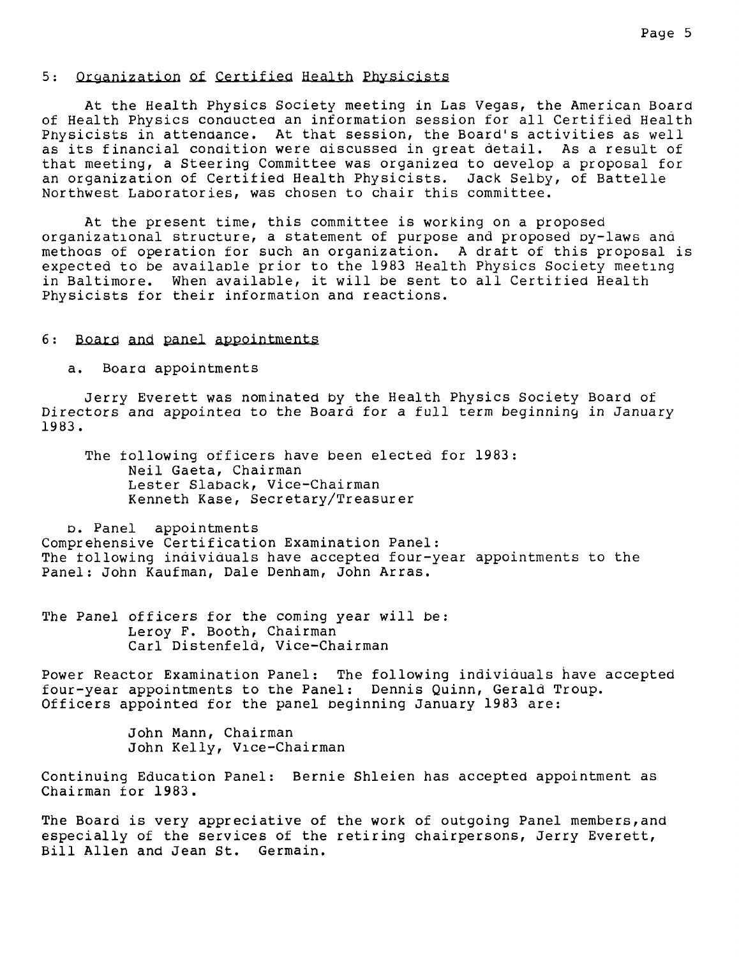## 5: Organization of Certified Health Physicists

At the Health Physics Society meeting in Las Vegas, the American Board of Health Physics conducted an information session for all Certified Health Physicists in attendance. At that session, the Board's activities as well as its financial condition were discussed in great detail. As a result of that meeting, a Steering Committee was organizea to develop a proposal for an organization of Certitied Health Physicists. Jack Selby, of Battelle Northwest Laboratories, was chosen to chair this committee.

At the present time, this committee is working on a proposed organizational structure, a statement of purpose and proposed oy-laws and methoas of operation for such an organization. A dratt of this proposal is expected to be availaole prior to the 1983 Health Physics Society meeting in Baltimore. When available, it will be sent to all Certitied Health Physicists for their information and reactions.

## 6: Board and panel appointments

a. Boara appointments

Jerry Everett was nominated by the Health Physics Society Board of Directors and appointea to the Board for a full term beginning in January 1983.

The tollowing officers have been elected for 1983: Neil Gaeta, Chairman Lester Slaback, Vice-Chairman Kenneth Kase, Secretary/Treasurer

o. Panel appointments Comprehensive Certification Examination Panel: The tollowing individuals have accepted four-year appointments to the Panel: John Kaufman, Dale Denham, John Arras.

The Panel officers for the coming year will be: Leroy F. Booth, Chairman Carl Distenfeld, Vice-Chairman

Power Reactor Examination Panel: The following individuals have accepted four-year appointments to the Panel: Dennis Quinn, Gerald Troup. Officers appointed for the panel beginning January 1983 are:

> John Mann, Chairman John Kelly, Vice-Chairman

Continuing Education Panel: Bernie Shleien has accepted appointment as Chairman for 1983.

The Board is very appreciative of the work of outgoing Panel members, and especially of the services of the retiring chairpersons, Jerry Everett, Bill Allen and Jean St. Germain.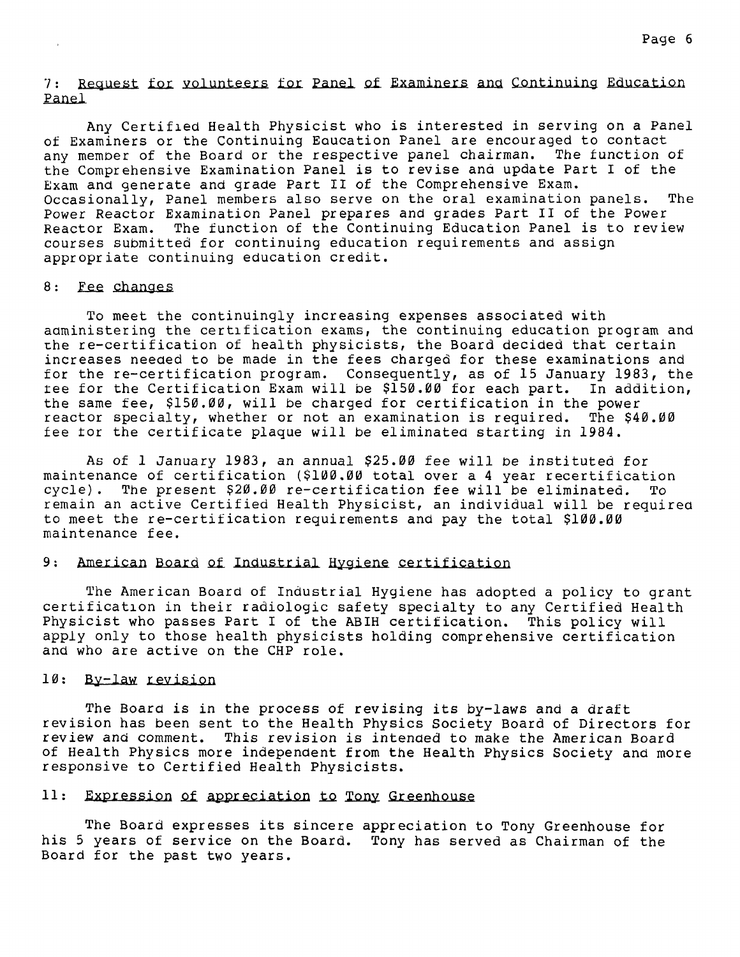7: Request for volunteers for Panel of Examiners and Continuing Education Panel

Any Certified Health Physicist who is interested in serving on a Panel of Examiners or the Continuing Eaucation Panel are encouraged to contact any member of the Board or the respective panel chairman. The function of the Comprehensive Examination Panel is to revise and update Part I of the Exam and generate and grade Part II of the Comprehensive Exam. Occasionally, Panel members also serve on the oral examination panels. The Power Reactor Examination Panel prepares and grades Part II of the Power Reactor Exam. The function of the Continuing Education Panel is to review courses submitted for continuing education requirements and assign appropriate continuing education credit.

#### 8: Fee changes

To meet the continuingly increasing expenses associated with administering the certification exams, the continuing education program and the re-certification of health physicists, the Board decided that certain increases needed to be made in the fees charged for these examinations and for the re-certification program. Consequently, as of 15 January 1983, the ree for the Certification Exam will be \$150.00 for each part. In addition, the same fee, \$150.00, will be charged for certification in the power reactor specialty, whether or not an examination is required. The \$40.00 fee tor the certificate plaque will be eliminated starting in 1984.

As of 1 January 1983, an annual \$25.00 fee will be instituted for maintenance of certification (\$100.00 total over a 4 year recertification<br>cycle). The present \$20.00 re-certification fee will be eliminated. To The present \$20.00 re-certification fee will be eliminated. To remain an active Certified Health Physicist, an individual will be required to meet the re-certification requirements and pay the total \$100.00 maintenance fee.

## 9: American Board of Industrial Hygiene certification

The American Board of Industrial Hygiene has adopted a policy to grant certification in their radiologic safety specialty to any Certified Health Physicist who passes Part I of the ABIH certification. This policy will apply only to those health physicists holding comprehensive certification and who are active on the CHP role.

### 10: By-law revision

The Board is in the process of revising its by-laws and a draft revision has been sent to the Health Physics Society Board of Directors for review and comment. This revision is intended to make the American Board of Health Physics more independent from the Health Physics Society and more responsive to Certified Health Physicists.

# 11: Expression of appreciation to Tony Greenhouse

The Board expresses its sincere appreciation to Tony Greenhouse for his 5 years of service on the Board. Tony has served as Chairman of the Board for the past two years.